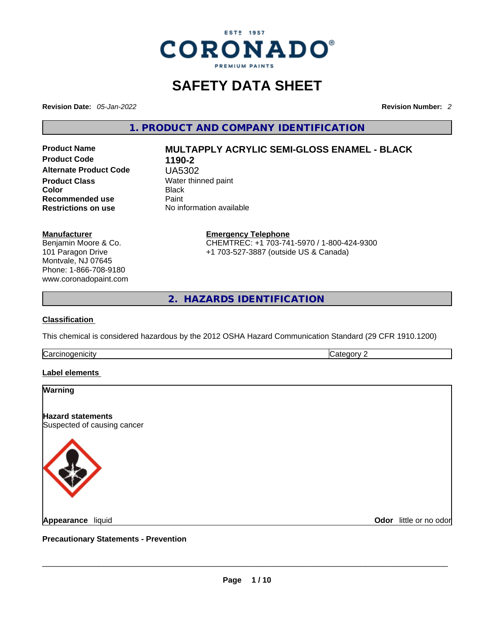

### **SAFETY DATA SHEET**

**Revision Date:** *05-Jan-2022* **Revision Number:** *2*

**1. PRODUCT AND COMPANY IDENTIFICATION** 

**Product Code 1190-2 Alternate Product Code** UA5302 **Product Class Water thinned paint**<br> **Color** Black **Color** Black **Recommended use** Paint<br> **Restrictions on use** No inf

# **Product Name MULTAPPLY ACRYLIC SEMI-GLOSS ENAMEL - BLACK**

**No information available** 

#### **Manufacturer**

Benjamin Moore & Co. 101 Paragon Drive Montvale, NJ 07645 Phone: 1-866-708-9180 www.coronadopaint.com

#### **Emergency Telephone** CHEMTREC: +1 703-741-5970 / 1-800-424-9300 +1 703-527-3887 (outside US & Canada)

**2. HAZARDS IDENTIFICATION** 

#### **Classification**

This chemical is considered hazardous by the 2012 OSHA Hazard Communication Standard (29 CFR 1910.1200)

**Carcinogenicity** Category 2

#### **Label elements**

## **Warning Hazard statements** Suspected of causing cancer **Appearance** liquid \_\_\_\_\_\_\_\_\_\_\_\_\_\_\_\_\_\_\_\_\_\_\_\_\_\_\_\_\_\_\_\_\_\_\_\_\_\_\_\_\_\_\_\_\_\_\_\_\_\_\_\_\_\_\_\_\_\_\_\_\_\_\_\_\_\_\_\_\_\_\_\_\_\_\_\_\_\_\_\_\_\_\_\_\_\_\_\_\_\_\_\_\_ **Odor** little or no odor

**Precautionary Statements - Prevention**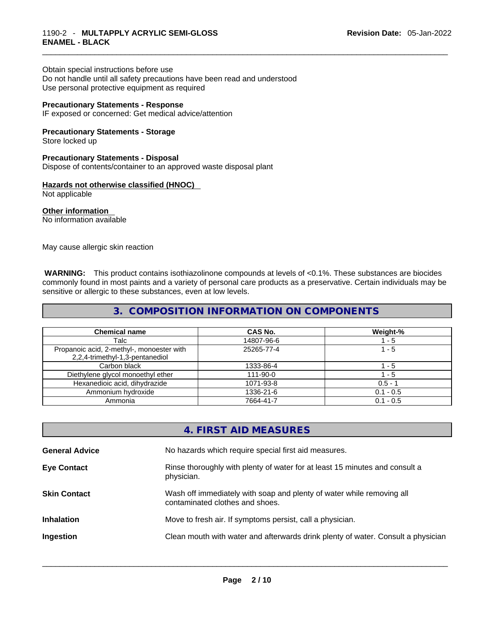Obtain special instructions before use Do not handle until all safety precautions have been read and understood

Use personal protective equipment as required

#### **Precautionary Statements - Response**

IF exposed or concerned: Get medical advice/attention

#### **Precautionary Statements - Storage**

Store locked up

#### **Precautionary Statements - Disposal**

Dispose of contents/container to an approved waste disposal plant

#### **Hazards not otherwise classified (HNOC)**

Not applicable

**Other information**  No information available

May cause allergic skin reaction

 **WARNING:** This product contains isothiazolinone compounds at levels of <0.1%. These substances are biocides commonly found in most paints and a variety of personal care products as a preservative. Certain individuals may be sensitive or allergic to these substances, even at low levels.

#### **3. COMPOSITION INFORMATION ON COMPONENTS**

| <b>Chemical name</b>                                                         | <b>CAS No.</b> | Weight-%    |
|------------------------------------------------------------------------------|----------------|-------------|
| Talc                                                                         | 14807-96-6     | - 5         |
| Propanoic acid, 2-methyl-, monoester with<br>2,2,4-trimethyl-1,3-pentanediol | 25265-77-4     | $1 - 5$     |
| Carbon black                                                                 | 1333-86-4      | - 5         |
| Diethylene glycol monoethyl ether                                            | $111 - 90 - 0$ | 1 - 5       |
| Hexanedioic acid, dihydrazide                                                | 1071-93-8      | $0.5 - 1$   |
| Ammonium hydroxide                                                           | 1336-21-6      | $0.1 - 0.5$ |
| Ammonia                                                                      | 7664-41-7      | $0.1 - 0.5$ |

#### **4. FIRST AID MEASURES**

| <b>General Advice</b> | No hazards which require special first aid measures.                                                     |
|-----------------------|----------------------------------------------------------------------------------------------------------|
| <b>Eye Contact</b>    | Rinse thoroughly with plenty of water for at least 15 minutes and consult a<br>physician.                |
| <b>Skin Contact</b>   | Wash off immediately with soap and plenty of water while removing all<br>contaminated clothes and shoes. |
| <b>Inhalation</b>     | Move to fresh air. If symptoms persist, call a physician.                                                |
| Ingestion             | Clean mouth with water and afterwards drink plenty of water. Consult a physician                         |
|                       |                                                                                                          |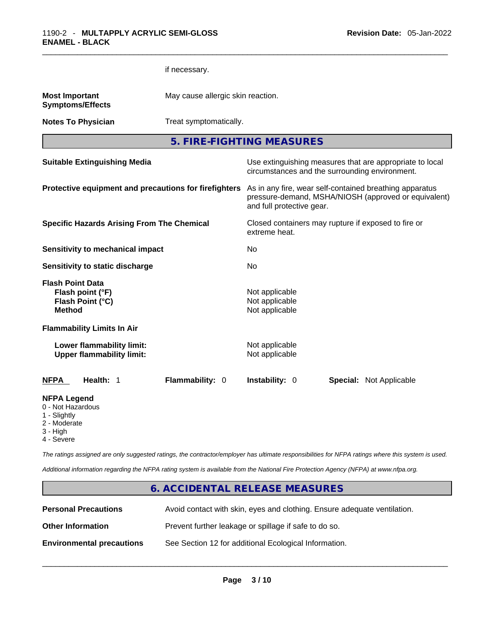|                                                                                  | if necessary.   |                                                                                                                                              |  |  |
|----------------------------------------------------------------------------------|-----------------|----------------------------------------------------------------------------------------------------------------------------------------------|--|--|
| <b>Most Important</b><br><b>Symptoms/Effects</b>                                 |                 | May cause allergic skin reaction.                                                                                                            |  |  |
| <b>Notes To Physician</b>                                                        |                 | Treat symptomatically.                                                                                                                       |  |  |
|                                                                                  |                 | 5. FIRE-FIGHTING MEASURES                                                                                                                    |  |  |
| <b>Suitable Extinguishing Media</b>                                              |                 | Use extinguishing measures that are appropriate to local<br>circumstances and the surrounding environment.                                   |  |  |
| Protective equipment and precautions for firefighters                            |                 | As in any fire, wear self-contained breathing apparatus<br>pressure-demand, MSHA/NIOSH (approved or equivalent)<br>and full protective gear. |  |  |
| <b>Specific Hazards Arising From The Chemical</b>                                |                 | Closed containers may rupture if exposed to fire or<br>extreme heat.                                                                         |  |  |
| Sensitivity to mechanical impact                                                 |                 | No                                                                                                                                           |  |  |
| Sensitivity to static discharge                                                  |                 | No                                                                                                                                           |  |  |
| <b>Flash Point Data</b><br>Flash point (°F)<br>Flash Point (°C)<br><b>Method</b> |                 | Not applicable<br>Not applicable<br>Not applicable                                                                                           |  |  |
| <b>Flammability Limits In Air</b>                                                |                 |                                                                                                                                              |  |  |
| Lower flammability limit:<br><b>Upper flammability limit:</b>                    |                 | Not applicable<br>Not applicable                                                                                                             |  |  |
| NFPA<br>Health: 1                                                                | Flammability: 0 | Instability: 0<br><b>Special: Not Applicable</b>                                                                                             |  |  |
| NFPA Legend<br>0 - Not Hazardous<br>1 - Slightly                                 |                 |                                                                                                                                              |  |  |

- 2 Moderate
- 3 High
- 4 Severe

*The ratings assigned are only suggested ratings, the contractor/employer has ultimate responsibilities for NFPA ratings where this system is used.* 

*Additional information regarding the NFPA rating system is available from the National Fire Protection Agency (NFPA) at www.nfpa.org.* 

#### **6. ACCIDENTAL RELEASE MEASURES**

| <b>Personal Precautions</b>      | Avoid contact with skin, eyes and clothing. Ensure adequate ventilation. |
|----------------------------------|--------------------------------------------------------------------------|
| <b>Other Information</b>         | Prevent further leakage or spillage if safe to do so.                    |
| <b>Environmental precautions</b> | See Section 12 for additional Ecological Information.                    |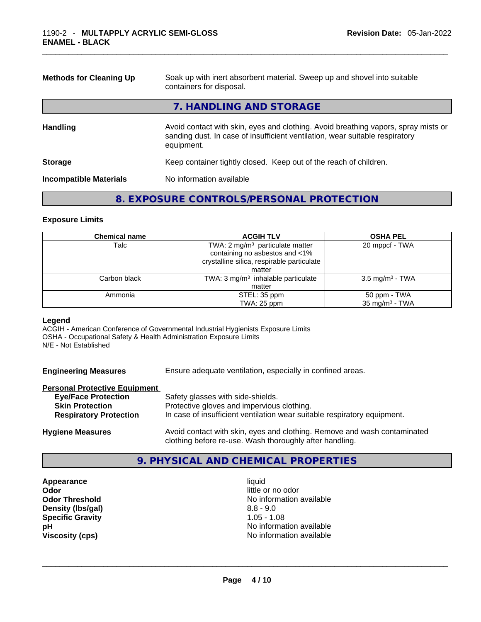| <b>Methods for Cleaning Up</b> | Soak up with inert absorbent material. Sweep up and shovel into suitable<br>containers for disposal.                                                                             |  |  |
|--------------------------------|----------------------------------------------------------------------------------------------------------------------------------------------------------------------------------|--|--|
|                                | 7. HANDLING AND STORAGE                                                                                                                                                          |  |  |
| <b>Handling</b>                | Avoid contact with skin, eyes and clothing. Avoid breathing vapors, spray mists or<br>sanding dust. In case of insufficient ventilation, wear suitable respiratory<br>equipment. |  |  |
| <b>Storage</b>                 | Keep container tightly closed. Keep out of the reach of children.                                                                                                                |  |  |
| <b>Incompatible Materials</b>  | No information available                                                                                                                                                         |  |  |

#### **8. EXPOSURE CONTROLS/PERSONAL PROTECTION**

#### **Exposure Limits**

| <b>Chemical name</b> | <b>ACGIH TLV</b>                               | <b>OSHA PEL</b>             |  |
|----------------------|------------------------------------------------|-----------------------------|--|
| Talc                 | TWA: $2 \text{ mg/m}^3$ particulate matter     | 20 mppcf - TWA              |  |
|                      | containing no asbestos and <1%                 |                             |  |
|                      | crystalline silica, respirable particulate     |                             |  |
|                      | matter                                         |                             |  |
| Carbon black         | TWA: 3 mg/m <sup>3</sup> inhalable particulate | 3.5 mg/m <sup>3</sup> - TWA |  |
|                      | matter                                         |                             |  |
| Ammonia              | STEL: 35 ppm                                   | 50 ppm - TWA                |  |
|                      | TWA: 25 ppm                                    | 35 mg/m $3$ - TWA           |  |

#### **Legend**

ACGIH - American Conference of Governmental Industrial Hygienists Exposure Limits OSHA - Occupational Safety & Health Administration Exposure Limits N/E - Not Established

**Engineering Measures** Ensure adequate ventilation, especially in confined areas.

#### **Personal Protective Equipment**

| <b>Eye/Face Protection</b>    | Safety glasses with side-shields.                                        |
|-------------------------------|--------------------------------------------------------------------------|
| <b>Skin Protection</b>        | Protective gloves and impervious clothing.                               |
| <b>Respiratory Protection</b> | In case of insufficient ventilation wear suitable respiratory equipment. |
|                               |                                                                          |

**Hygiene Measures** Avoid contact with skin, eyes and clothing. Remove and wash contaminated clothing before re-use. Wash thoroughly after handling.

#### **9. PHYSICAL AND CHEMICAL PROPERTIES**

**Appearance** liquid **Odor little or no odor Density (lbs/gal)** 8.8 - 9.0 **Specific Gravity** 1.05 - 1.08

**Odor Threshold** No information available **pH**<br>
Viscosity (cps) <br>
Viscosity (cps) <br>
Viscosity (cps) <br>
Viscosity (cps) <br>
Viscosity (cps) <br>
Viscosity (cps) <br>
Viscosity (cps) <br>
Viscosity (cps) <br>
Viscosity (cps) <br>
Viscosity (cps) <br>
Viscosity (cps) <br>
Viscosity (cps) <br> **Viscosity (cps)** No information available \_\_\_\_\_\_\_\_\_\_\_\_\_\_\_\_\_\_\_\_\_\_\_\_\_\_\_\_\_\_\_\_\_\_\_\_\_\_\_\_\_\_\_\_\_\_\_\_\_\_\_\_\_\_\_\_\_\_\_\_\_\_\_\_\_\_\_\_\_\_\_\_\_\_\_\_\_\_\_\_\_\_\_\_\_\_\_\_\_\_\_\_\_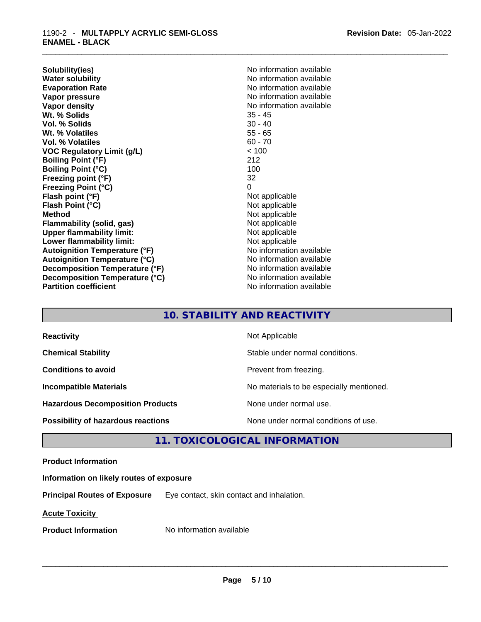**Solubility(ies)** No information available **Water solubility**<br> **No information available**<br> **Evaporation Rate**<br> **No information available Vapor pressure**  No information available **Vapor pressure No information available Vapor density No information available No information available Wt. % Solids** 35 - 45 **Vol. % Solids Wt. % Volatiles** 55 - 65 **Vol. % Volatiles VOC Regulatory Limit (g/L)** < 100 **Boiling Point (°F)** 212<br> **Boiling Point (°C)** 212 **Boiling Point (°C) Freezing point (°F)** 32 **Freezing Point (°C)** 0 **Flash point (°F)** Not applicable **Flash Point (°C)** Not applicable **Method Not applicable**<br> **Plammability (solid, gas)** Not applicable **Not applicable Flammability** (solid, gas) **Upper flammability limit:** Not applicable **Lower flammability limit:**<br> **Autoignition Temperature (°F)**<br>
Mo information available **Autoignition Temperature (°F) Autoignition Temperature (°C)** No information available **Decomposition Temperature (°F)** No information available **Decomposition Temperature (°C)** No information available **Partition coefficient** No information available

**Evaporation Rate** No information available

#### **10. STABILITY AND REACTIVITY**

| <b>Reactivity</b>                         | Not Applicable                           |
|-------------------------------------------|------------------------------------------|
| <b>Chemical Stability</b>                 | Stable under normal conditions.          |
| <b>Conditions to avoid</b>                | Prevent from freezing.                   |
| <b>Incompatible Materials</b>             | No materials to be especially mentioned. |
| <b>Hazardous Decomposition Products</b>   | None under normal use.                   |
| <b>Possibility of hazardous reactions</b> | None under normal conditions of use.     |

#### **11. TOXICOLOGICAL INFORMATION**

#### **Product Information**

#### **Information on likely routes of exposure**

**Principal Routes of Exposure** Eye contact, skin contact and inhalation.

**Acute Toxicity** 

**Product Information** Mo information available **and the set of the set of the set of the set of the set of the set of the set of the set of the set of the set of the set of the set of the set of the set of the set of the s**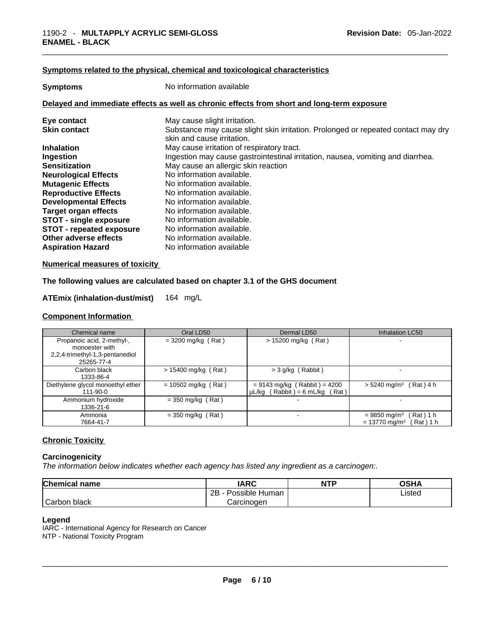#### **Symptoms related to the physical,chemical and toxicological characteristics**

| <b>Symptoms</b> | No information available                                                                   |
|-----------------|--------------------------------------------------------------------------------------------|
|                 | Delayed and immediate effects as well as chronic effects from short and long-term exposure |

| Eye contact                     | May cause slight irritation.                                                      |
|---------------------------------|-----------------------------------------------------------------------------------|
| <b>Skin contact</b>             | Substance may cause slight skin irritation. Prolonged or repeated contact may dry |
|                                 | skin and cause irritation.                                                        |
| <b>Inhalation</b>               | May cause irritation of respiratory tract.                                        |
| Ingestion                       | Ingestion may cause gastrointestinal irritation, nausea, vomiting and diarrhea.   |
| <b>Sensitization</b>            | May cause an allergic skin reaction                                               |
| <b>Neurological Effects</b>     | No information available.                                                         |
| <b>Mutagenic Effects</b>        | No information available.                                                         |
| <b>Reproductive Effects</b>     | No information available.                                                         |
| <b>Developmental Effects</b>    | No information available.                                                         |
| <b>Target organ effects</b>     | No information available.                                                         |
| <b>STOT - single exposure</b>   | No information available.                                                         |
| <b>STOT - repeated exposure</b> | No information available.                                                         |
| Other adverse effects           | No information available.                                                         |
| <b>Aspiration Hazard</b>        | No information available                                                          |

#### **Numerical measures of toxicity**

#### **The following values are calculated based on chapter 3.1 of the GHS document**

#### **ATEmix (inhalation-dust/mist)** 164 mg/L

#### **Component Information**

| Chemical name                     | Oral LD50             | Dermal LD50                         | <b>Inhalation LC50</b>                   |
|-----------------------------------|-----------------------|-------------------------------------|------------------------------------------|
| Propanoic acid, 2-methyl-,        | $= 3200$ mg/kg (Rat)  | $> 15200$ mg/kg (Rat)               | $\blacksquare$                           |
| monoester with                    |                       |                                     |                                          |
| 2,2,4-trimethyl-1,3-pentanediol   |                       |                                     |                                          |
| 25265-77-4                        |                       |                                     |                                          |
| Carbon black                      | $> 15400$ mg/kg (Rat) | > 3 g/kg (Rabbit)                   |                                          |
| 1333-86-4                         |                       |                                     |                                          |
| Diethylene glycol monoethyl ether | $= 10502$ mg/kg (Rat) | $= 9143$ mg/kg (Rabbit) = 4200      | $> 5240$ mg/m <sup>3</sup> (Rat) 4 h     |
| 111-90-0                          |                       | $\mu L/kg$ (Rabbit) = 6 mL/kg (Rat) |                                          |
| Ammonium hydroxide                | $=$ 350 mg/kg (Rat)   |                                     |                                          |
| 1336-21-6                         |                       |                                     |                                          |
| Ammonia                           | $=$ 350 mg/kg (Rat)   |                                     | (Rat) 1 h<br>$= 9850$ mg/m <sup>3</sup>  |
| 7664-41-7                         |                       |                                     | $= 13770$ mg/m <sup>3</sup><br>Rat ) 1 h |

#### **Chronic Toxicity**

#### **Carcinogenicity**

*The information below indicates whether each agency has listed any ingredient as a carcinogen:.* 

| <b>Chemical name</b> | <b>IARC</b>          | <b>NTP</b> | OSHA   |
|----------------------|----------------------|------------|--------|
|                      | 2B<br>Possible Human |            | Listed |
| Carbon black         | Carcinogen           |            |        |

#### **Legend**

IARC - International Agency for Research on Cancer NTP - National Toxicity Program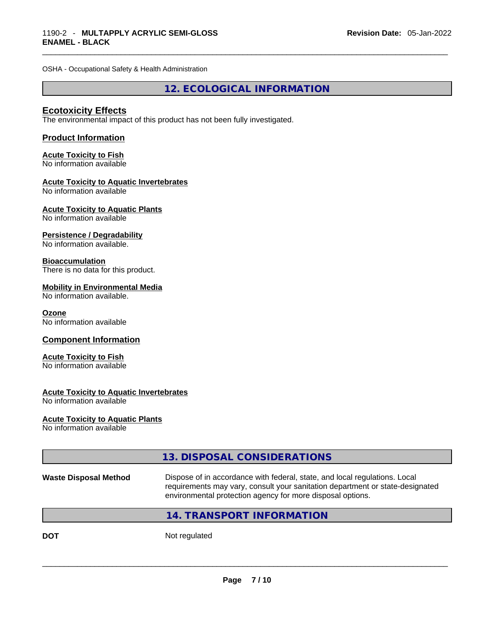OSHA - Occupational Safety & Health Administration

**12. ECOLOGICAL INFORMATION** 

#### **Ecotoxicity Effects**

The environmental impact of this product has not been fully investigated.

#### **Product Information**

#### **Acute Toxicity to Fish**

No information available

#### **Acute Toxicity to Aquatic Invertebrates**

No information available

#### **Acute Toxicity to Aquatic Plants**

No information available

#### **Persistence / Degradability**

No information available.

#### **Bioaccumulation**

There is no data for this product.

#### **Mobility in Environmental Media**

No information available.

#### **Ozone**

No information available

#### **Component Information**

#### **Acute Toxicity to Fish** No information available

#### **Acute Toxicity to Aquatic Invertebrates**

No information available

#### **Acute Toxicity to Aquatic Plants**

No information available

|                              | 13. DISPOSAL CONSIDERATIONS                                                                                                                                                                                               |  |
|------------------------------|---------------------------------------------------------------------------------------------------------------------------------------------------------------------------------------------------------------------------|--|
| <b>Waste Disposal Method</b> | Dispose of in accordance with federal, state, and local regulations. Local<br>requirements may vary, consult your sanitation department or state-designated<br>environmental protection agency for more disposal options. |  |
|                              | 14. TRANSPORT INFORMATION                                                                                                                                                                                                 |  |
| <b>DOT</b>                   | Not regulated                                                                                                                                                                                                             |  |
|                              |                                                                                                                                                                                                                           |  |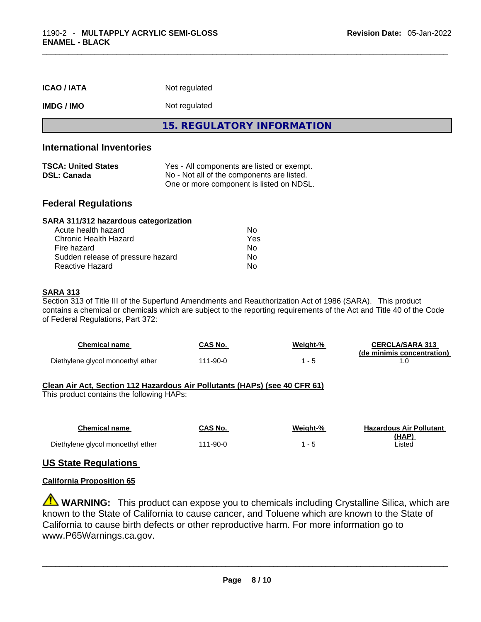| <b>ICAO/IATA</b>                                                                                                                                                                                                                                                                          | Not regulated                                                                                                                        |  |  |
|-------------------------------------------------------------------------------------------------------------------------------------------------------------------------------------------------------------------------------------------------------------------------------------------|--------------------------------------------------------------------------------------------------------------------------------------|--|--|
| <b>IMDG / IMO</b>                                                                                                                                                                                                                                                                         | Not regulated                                                                                                                        |  |  |
|                                                                                                                                                                                                                                                                                           | <b>15. REGULATORY INFORMATION</b>                                                                                                    |  |  |
| <b>International Inventories</b>                                                                                                                                                                                                                                                          |                                                                                                                                      |  |  |
| <b>TSCA: United States</b><br><b>DSL: Canada</b>                                                                                                                                                                                                                                          | Yes - All components are listed or exempt.<br>No - Not all of the components are listed.<br>One or more component is listed on NDSL. |  |  |
| <b>Federal Regulations</b>                                                                                                                                                                                                                                                                |                                                                                                                                      |  |  |
| SARA 311/312 hazardous categorization                                                                                                                                                                                                                                                     |                                                                                                                                      |  |  |
| Acute health hazard                                                                                                                                                                                                                                                                       | No.                                                                                                                                  |  |  |
| <b>Chronic Health Hazard</b><br>Fire hazard                                                                                                                                                                                                                                               | Yes<br>No.                                                                                                                           |  |  |
| Sudden release of pressure hazard<br>No.                                                                                                                                                                                                                                                  |                                                                                                                                      |  |  |
| <b>Reactive Hazard</b>                                                                                                                                                                                                                                                                    | No.                                                                                                                                  |  |  |
|                                                                                                                                                                                                                                                                                           |                                                                                                                                      |  |  |
| <b>SARA 313</b><br>Section 313 of Title III of the Superfund Amendments and Reauthorization Act of 1986 (SARA). This product<br>contains a chemical or chemicals which are subject to the reporting requirements of the Act and Title 40 of the Code<br>of Federal Regulations, Part 372: |                                                                                                                                      |  |  |

| Chemical name                     | CAS No.       | Weight-% | <b>CERCLA/SARA 313</b>     |
|-----------------------------------|---------------|----------|----------------------------|
|                                   |               |          | (de minimis concentration) |
| Diethylene glycol monoethyl ether | $11 - 90 - 0$ |          |                            |

#### **Clean Air Act,Section 112 Hazardous Air Pollutants (HAPs) (see 40 CFR 61)**

This product contains the following HAPs:

| <b>Chemical name</b>              | CAS No.  | Weight-% | <b>Hazardous Air Pollutant</b> |
|-----------------------------------|----------|----------|--------------------------------|
|                                   |          |          | (HAP)                          |
| Diethylene glycol monoethyl ether | 111-90-0 |          | Listed                         |

#### **US State Regulations**

#### **California Proposition 65**

**WARNING:** This product can expose you to chemicals including Crystalline Silica, which are known to the State of California to cause cancer, and Toluene which are known to the State of California to cause birth defects or other reproductive harm. For more information go to www.P65Warnings.ca.gov.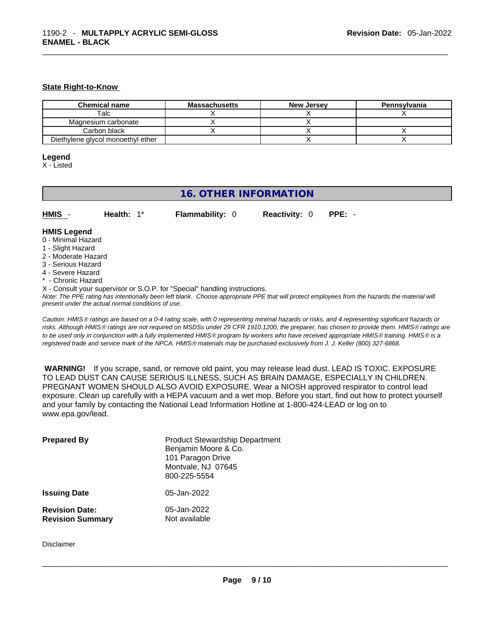#### **State Right-to-Know**

| <b>Chemical name</b>              | <b>Massachusetts</b> | <b>New Jersey</b> | Pennsylvania |
|-----------------------------------|----------------------|-------------------|--------------|
| Talc                              |                      |                   |              |
| Magnesium carbonate               |                      |                   |              |
| Carbon black                      |                      |                   |              |
| Diethylene glycol monoethyl ether |                      |                   |              |

#### **Legend**

X - Listed

| <b>16. OTHER INFORMATION</b>                                                                                                                          |                                                    |                                                                            |                      |                                                                                                                                               |
|-------------------------------------------------------------------------------------------------------------------------------------------------------|----------------------------------------------------|----------------------------------------------------------------------------|----------------------|-----------------------------------------------------------------------------------------------------------------------------------------------|
| HMIS -                                                                                                                                                | Health: $1^*$                                      | <b>Flammability: 0</b>                                                     | <b>Reactivity: 0</b> | $PPE: -$                                                                                                                                      |
| <b>HMIS Legend</b><br>0 - Minimal Hazard<br>1 - Slight Hazard<br>2 - Moderate Hazard<br>3 - Serious Hazard<br>4 - Severe Hazard<br>* - Chronic Hazard |                                                    | X - Consult your supervisor or S.O.P. for "Special" handling instructions. |                      |                                                                                                                                               |
|                                                                                                                                                       | present under the actual normal conditions of use. |                                                                            |                      | Note: The PPE rating has intentionally been left blank. Choose appropriate PPE that will protect employees from the hazards the material will |

*Caution: HMISÒ ratings are based on a 0-4 rating scale, with 0 representing minimal hazards or risks, and 4 representing significant hazards or risks. Although HMISÒ ratings are not required on MSDSs under 29 CFR 1910.1200, the preparer, has chosen to provide them. HMISÒ ratings are to be used only in conjunction with a fully implemented HMISÒ program by workers who have received appropriate HMISÒ training. HMISÒ is a registered trade and service mark of the NPCA. HMISÒ materials may be purchased exclusively from J. J. Keller (800) 327-6868.* 

 **WARNING!** If you scrape, sand, or remove old paint, you may release lead dust. LEAD IS TOXIC. EXPOSURE TO LEAD DUST CAN CAUSE SERIOUS ILLNESS, SUCH AS BRAIN DAMAGE, ESPECIALLY IN CHILDREN. PREGNANT WOMEN SHOULD ALSO AVOID EXPOSURE. Wear a NIOSH approved respirator to control lead exposure. Clean up carefully with a HEPA vacuum and a wet mop. Before you start, find out how to protect yourself and your family by contacting the National Lead Information Hotline at 1-800-424-LEAD or log on to www.epa.gov/lead.

| <b>Prepared By</b>                               | <b>Product Stewardship Department</b><br>Benjamin Moore & Co.<br>101 Paragon Drive<br>Montvale, NJ 07645<br>800-225-5554 |
|--------------------------------------------------|--------------------------------------------------------------------------------------------------------------------------|
| <b>Issuing Date</b>                              | 05-Jan-2022                                                                                                              |
| <b>Revision Date:</b><br><b>Revision Summary</b> | 05-Jan-2022<br>Not available                                                                                             |

Disclaimer